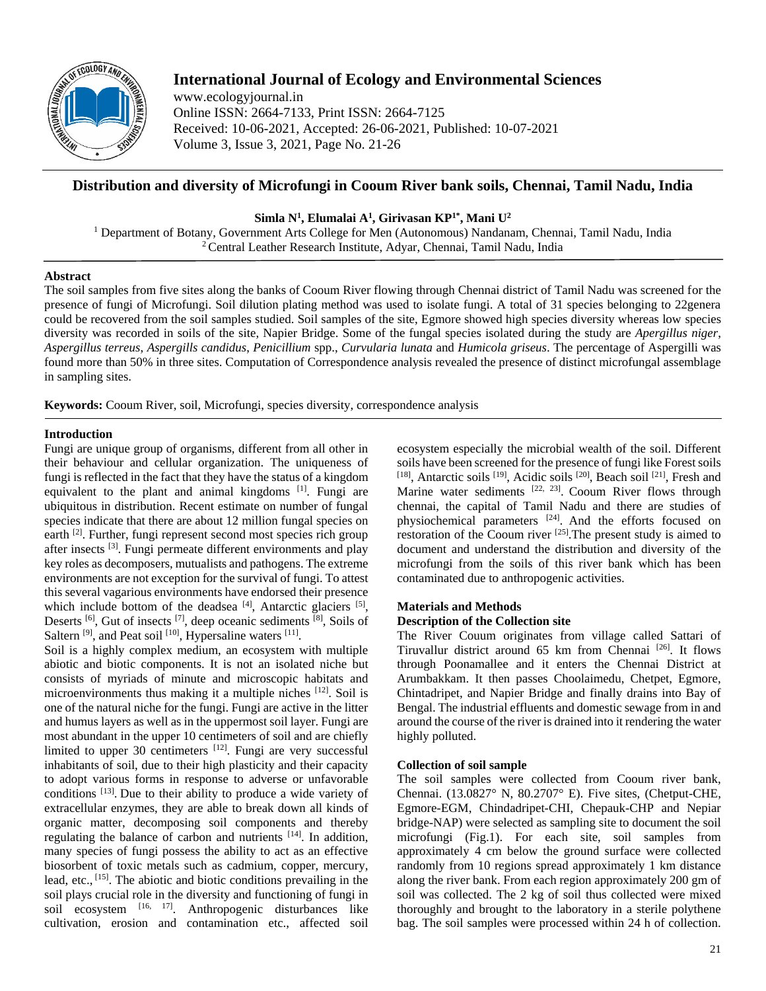

# **International Journal of Ecology and Environmental Sciences**

www.ecologyjournal.in Online ISSN: 2664-7133, Print ISSN: 2664-7125 Received: 10-06-2021, Accepted: 26-06-2021, Published: 10-07-2021 Volume 3, Issue 3, 2021, Page No. 21-26

## **Distribution and diversity of Microfungi in Cooum River bank soils, Chennai, Tamil Nadu, India**

**Simla N<sup>1</sup> , Elumalai A<sup>1</sup> , Girivasan KP1\* , Mani U<sup>2</sup>**

<sup>1</sup> Department of Botany, Government Arts College for Men (Autonomous) Nandanam, Chennai, Tamil Nadu, India <sup>2</sup> Central Leather Research Institute, Adyar, Chennai, Tamil Nadu, India

### **Abstract**

The soil samples from five sites along the banks of Cooum River flowing through Chennai district of Tamil Nadu was screened for the presence of fungi of Microfungi. Soil dilution plating method was used to isolate fungi. A total of 31 species belonging to 22genera could be recovered from the soil samples studied. Soil samples of the site, Egmore showed high species diversity whereas low species diversity was recorded in soils of the site, Napier Bridge. Some of the fungal species isolated during the study are *Apergillus niger*, *Aspergillus terreus*, *Aspergills candidus*, *Penicillium* spp., *Curvularia lunata* and *Humicola griseus*. The percentage of Aspergilli was found more than 50% in three sites. Computation of Correspondence analysis revealed the presence of distinct microfungal assemblage in sampling sites.

**Keywords:** Cooum River, soil, Microfungi, species diversity, correspondence analysis

### **Introduction**

Fungi are unique group of organisms, different from all other in their behaviour and cellular organization. The uniqueness of fungi is reflected in the fact that they have the status of a kingdom equivalent to the plant and animal kingdoms [1]. Fungi are ubiquitous in distribution. Recent estimate on number of fungal species indicate that there are about 12 million fungal species on earth [2]. Further, fungi represent second most species rich group after insects [3]. Fungi permeate different environments and play key roles as decomposers, mutualists and pathogens. The extreme environments are not exception for the survival of fungi. To attest this several vagarious environments have endorsed their presence which include bottom of the deadsea  $[4]$ , Antarctic glaciers  $[5]$ , Deserts <sup>[6]</sup>, Gut of insects <sup>[7]</sup>, deep oceanic sediments  $^{[8]}$ , Soils of Saltern<sup>[9]</sup>, and Peat soil<sup>[10]</sup>, Hypersaline waters<sup>[11]</sup>.

Soil is a highly complex medium, an ecosystem with multiple abiotic and biotic components. It is not an isolated niche but consists of myriads of minute and microscopic habitats and microenvironments thus making it a multiple niches [12]. Soil is one of the natural niche for the fungi. Fungi are active in the litter and humus layers as well as in the uppermost soil layer. Fungi are most abundant in the upper 10 centimeters of soil and are chiefly limited to upper 30 centimeters  $[12]$ . Fungi are very successful inhabitants of soil, due to their high plasticity and their capacity to adopt various forms in response to adverse or unfavorable conditions  $[13]$ . Due to their ability to produce a wide variety of extracellular enzymes, they are able to break down all kinds of organic matter, decomposing soil components and thereby regulating the balance of carbon and nutrients  $[14]$ . In addition, many species of fungi possess the ability to act as an effective biosorbent of toxic metals such as cadmium, copper, mercury, lead, etc.,  $^{[15]}$ . The abiotic and biotic conditions prevailing in the soil plays crucial role in the diversity and functioning of fungi in soil ecosystem [16, 17]. Anthropogenic disturbances like cultivation, erosion and contamination etc., affected soil

ecosystem especially the microbial wealth of the soil. Different soils have been screened for the presence of fungi like Forest soils [18], Antarctic soils [19], Acidic soils [20], Beach soil [21], Fresh and Marine water sediments  $[22, 23]$ . Cooum River flows through chennai, the capital of Tamil Nadu and there are studies of physiochemical parameters <sup>[24]</sup>. And the efforts focused on restoration of the Cooum river [25].The present study is aimed to document and understand the distribution and diversity of the microfungi from the soils of this river bank which has been contaminated due to anthropogenic activities.

#### **Materials and Methods Description of the Collection site**

The River Couum originates from village called Sattari of Tiruvallur district around 65 km from Chennai<sup>[26]</sup>. It flows through Poonamallee and it enters the Chennai District at Arumbakkam. It then passes Choolaimedu, Chetpet, Egmore, Chintadripet, and Napier Bridge and finally drains into Bay of Bengal. The industrial effluents and domestic sewage from in and around the course of the river is drained into it rendering the water highly polluted.

#### **Collection of soil sample**

The soil samples were collected from Cooum river bank, Chennai. (13.0827° N, 80.2707° E). Five sites, (Chetput-CHE, Egmore-EGM, Chindadripet-CHI, Chepauk-CHP and Nepiar bridge-NAP) were selected as sampling site to document the soil microfungi (Fig.1). For each site, soil samples from approximately 4 cm below the ground surface were collected randomly from 10 regions spread approximately 1 km distance along the river bank. From each region approximately 200 gm of soil was collected. The 2 kg of soil thus collected were mixed thoroughly and brought to the laboratory in a sterile polythene bag. The soil samples were processed within 24 h of collection.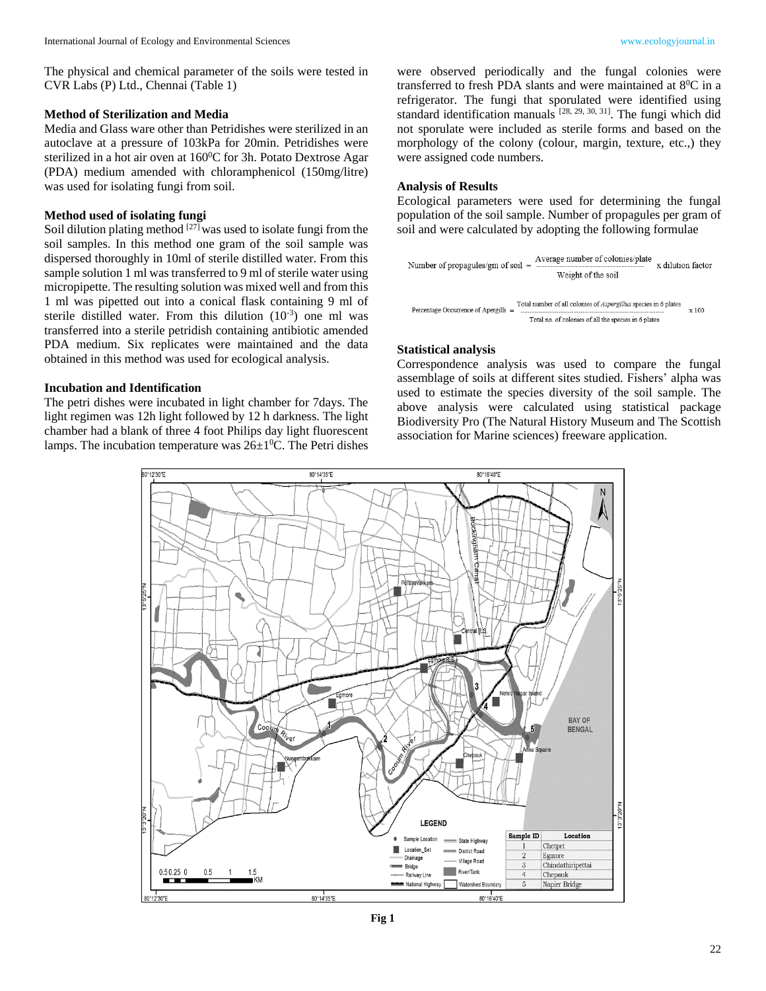The physical and chemical parameter of the soils were tested in CVR Labs (P) Ltd., Chennai (Table 1)

### **Method of Sterilization and Media**

Media and Glass ware other than Petridishes were sterilized in an autoclave at a pressure of 103kPa for 20min. Petridishes were sterilized in a hot air oven at  $160^{\circ}$ C for 3h. Potato Dextrose Agar (PDA) medium amended with chloramphenicol (150mg/litre) was used for isolating fungi from soil.

## **Method used of isolating fungi**

Soil dilution plating method  $[27]$  was used to isolate fungi from the soil samples. In this method one gram of the soil sample was dispersed thoroughly in 10ml of sterile distilled water. From this sample solution 1 ml was transferred to 9 ml of sterile water using micropipette. The resulting solution was mixed well and from this 1 ml was pipetted out into a conical flask containing 9 ml of sterile distilled water. From this dilution  $(10^{-3})$  one ml was transferred into a sterile petridish containing antibiotic amended PDA medium. Six replicates were maintained and the data obtained in this method was used for ecological analysis.

### **Incubation and Identification**

The petri dishes were incubated in light chamber for 7days. The light regimen was 12h light followed by 12 h darkness. The light chamber had a blank of three 4 foot Philips day light fluorescent lamps. The incubation temperature was  $26\pm1\textsuperscript{0}C$ . The Petri dishes

were observed periodically and the fungal colonies were transferred to fresh PDA slants and were maintained at  $8^0C$  in a refrigerator. The fungi that sporulated were identified using standard identification manuals  $[28, 29, 30, 31]$ . The fungi which did not sporulate were included as sterile forms and based on the morphology of the colony (colour, margin, texture, etc.,) they were assigned code numbers.

#### **Analysis of Results**

Ecological parameters were used for determining the fungal population of the soil sample. Number of propagules per gram of soil and were calculated by adopting the following formulae

Number of propagules/gm of soil = 
$$
\frac{\text{Average number of colonies/plate}}{\text{Weight of the soil}} \times \text{dilution factor}
$$
\n
$$
\text{Percentage Occurrence of Apergull} = \frac{\text{Total number of all colonies of } \text{Aspergillus species in 6 plates}}{\text{Total no. of colonies of all the species in 6 plates}} \times 100
$$

#### **Statistical analysis**

Correspondence analysis was used to compare the fungal assemblage of soils at different sites studied. Fishers' alpha was used to estimate the species diversity of the soil sample. The above analysis were calculated using statistical package Biodiversity Pro (The Natural History Museum and The Scottish association for Marine sciences) freeware application.



**Fig 1**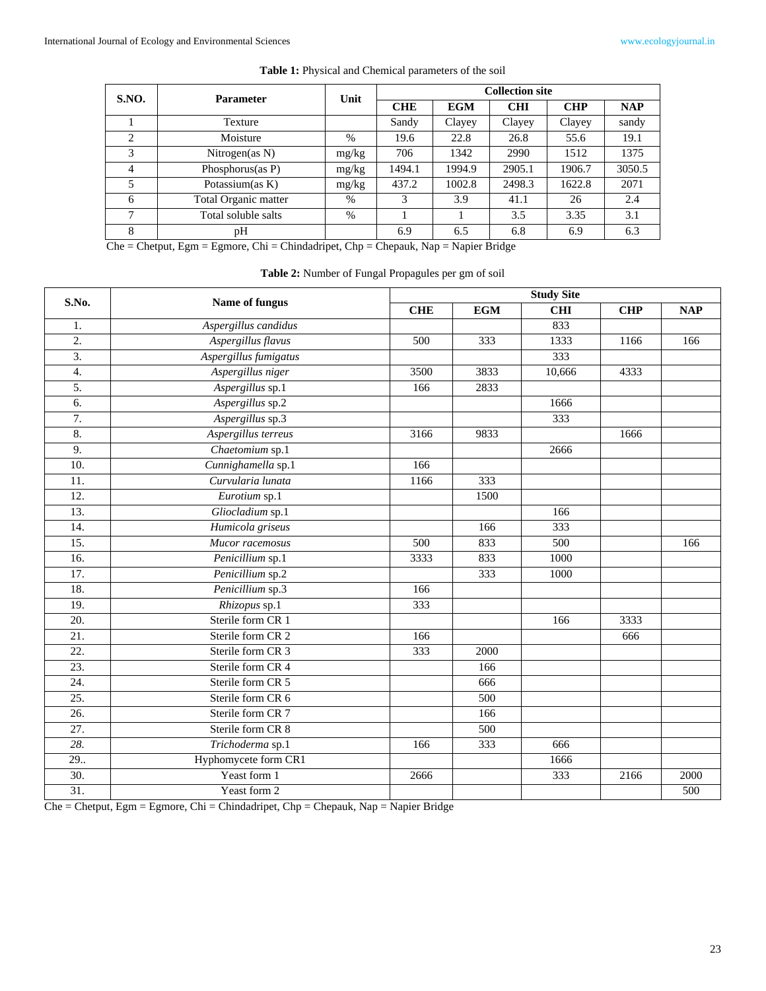| <b>S.NO.</b>                                                                          | <b>Parameter</b>     | Unit  | <b>Collection site</b> |            |            |            |            |  |
|---------------------------------------------------------------------------------------|----------------------|-------|------------------------|------------|------------|------------|------------|--|
|                                                                                       |                      |       | <b>CHE</b>             | <b>EGM</b> | <b>CHI</b> | <b>CHP</b> | <b>NAP</b> |  |
|                                                                                       | Texture              |       | Sandy                  | Clayey     | Clayey     | Clayey     | sandy      |  |
| 2                                                                                     | Moisture             | $\%$  | 19.6                   | 22.8       | 26.8       | 55.6       | 19.1       |  |
| 3                                                                                     | Nitrogen(as $N$ )    | mg/kg | 706                    | 1342       | 2990       | 1512       | 1375       |  |
| 4                                                                                     | Phosphorus $(as P)$  | mg/kg | 1494.1                 | 1994.9     | 2905.1     | 1906.7     | 3050.5     |  |
| 5                                                                                     | Potassium $(as K)$   | mg/kg | 437.2                  | 1002.8     | 2498.3     | 1622.8     | 2071       |  |
| 6                                                                                     | Total Organic matter | %     | 3                      | 3.9        | 41.1       | 26         | 2.4        |  |
| 7                                                                                     | Total soluble salts  | $\%$  |                        |            | 3.5        | 3.35       | 3.1        |  |
| 8                                                                                     | pН                   |       | 6.9                    | 6.5        | 6.8        | 6.9        | 6.3        |  |
| $Che = Chetput, Egm = Egmore, Chi = Chindadripet, Chp = Chepauk, Nap = Napier Bridge$ |                      |       |                        |            |            |            |            |  |

#### **Table 1:** Physical and Chemical parameters of the soil

| S.No.             | Name of fungus        | <b>Study Site</b> |      |            |            |            |  |  |
|-------------------|-----------------------|-------------------|------|------------|------------|------------|--|--|
|                   |                       | <b>CHE</b>        | EGM  | <b>CHI</b> | <b>CHP</b> | <b>NAP</b> |  |  |
| 1.                | Aspergillus candidus  |                   |      | 833        |            |            |  |  |
| 2.                | Aspergillus flavus    | 500               | 333  | 1333       | 1166       | 166        |  |  |
| $\overline{3}$ .  | Aspergillus fumigatus |                   |      | 333        |            |            |  |  |
| $\overline{4}$ .  | Aspergillus niger     | 3500              | 3833 | 10,666     | 4333       |            |  |  |
| 5.                | Aspergillus sp.1      | 166               | 2833 |            |            |            |  |  |
| 6.                | Aspergillus sp.2      |                   |      | 1666       |            |            |  |  |
| 7.                | Aspergillus sp.3      |                   |      | 333        |            |            |  |  |
| 8.                | Aspergillus terreus   | 3166              | 9833 |            | 1666       |            |  |  |
| 9.                | Chaetomium sp.1       |                   |      | 2666       |            |            |  |  |
| 10.               | Cunnighamella sp.1    | 166               |      |            |            |            |  |  |
| $\overline{11}$ . | Curvularia lunata     | 1166              | 333  |            |            |            |  |  |
| $\overline{12}$ . | Eurotium sp.1         |                   | 1500 |            |            |            |  |  |
| $\overline{13}$ . | Gliocladium sp.1      |                   |      | 166        |            |            |  |  |
| 14.               | Humicola griseus      |                   | 166  | 333        |            |            |  |  |
| 15.               | Mucor racemosus       | 500               | 833  | 500        |            | 166        |  |  |
| 16.               | Penicillium sp.1      | 3333              | 833  | 1000       |            |            |  |  |
| 17.               | Penicillium sp.2      |                   | 333  | 1000       |            |            |  |  |
| 18.               | Penicillium sp.3      | 166               |      |            |            |            |  |  |
| 19.               | Rhizopus sp.1         | 333               |      |            |            |            |  |  |
| $\overline{20}$ . | Sterile form CR 1     |                   |      | 166        | 3333       |            |  |  |
| $\overline{21}$ . | Sterile form CR 2     | 166               |      |            | 666        |            |  |  |
| $\overline{22}$ . | Sterile form CR 3     | 333               | 2000 |            |            |            |  |  |
| $\overline{23}$ . | Sterile form CR 4     |                   | 166  |            |            |            |  |  |
| $\overline{24}$ . | Sterile form CR 5     |                   | 666  |            |            |            |  |  |
| $\overline{25}$ . | Sterile form CR 6     |                   | 500  |            |            |            |  |  |
| $\overline{26}$ . | Sterile form CR 7     |                   | 166  |            |            |            |  |  |
| $\overline{27}$ . | Sterile form CR 8     |                   | 500  |            |            |            |  |  |
| 28.               | Trichoderma sp.1      | 166               | 333  | 666        |            |            |  |  |
| 29.               | Hyphomycete form CR1  |                   |      | 1666       |            |            |  |  |
| 30.               | Yeast form 1          | 2666              |      | 333        | 2166       | 2000       |  |  |
| $\overline{31}$ . | Yeast form 2          |                   |      |            |            | 500        |  |  |

**Table 2:** Number of Fungal Propagules per gm of soil

Che = Chetput, Egm = Egmore, Chi = Chindadripet, Chp = Chepauk, Nap = Napier Bridge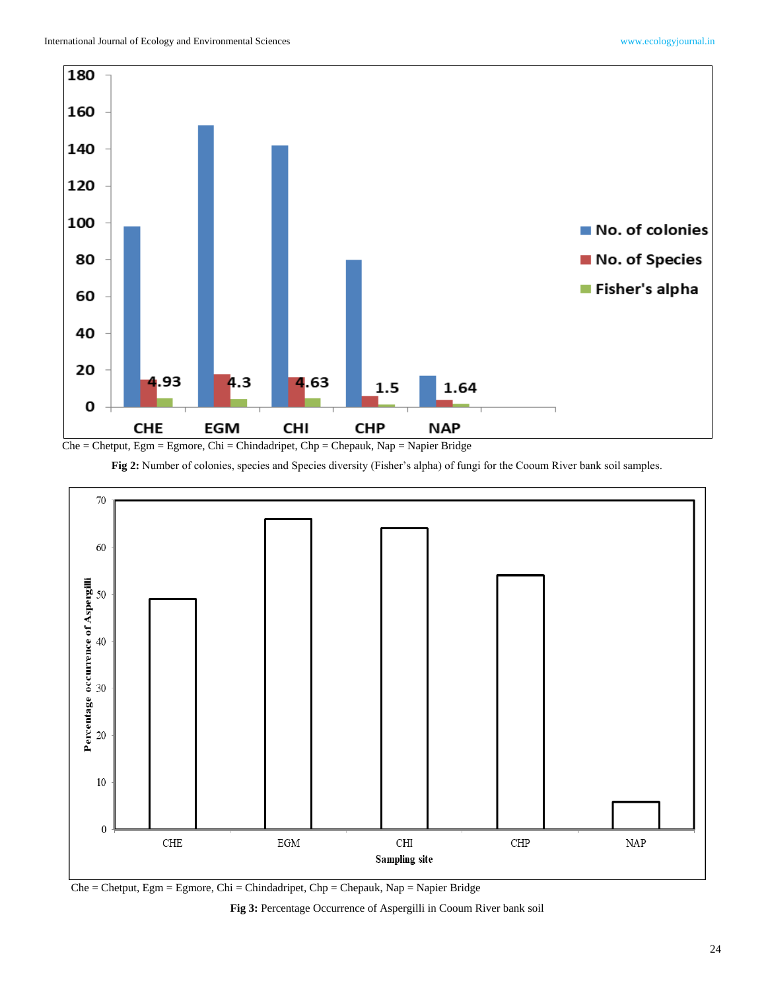



**Fig 2:** Number of colonies, species and Species diversity (Fisher's alpha) of fungi for the Cooum River bank soil samples.



Che = Chetput, Egm = Egmore, Chi = Chindadripet, Chp = Chepauk, Nap = Napier Bridge

**Fig 3:** Percentage Occurrence of Aspergilli in Cooum River bank soil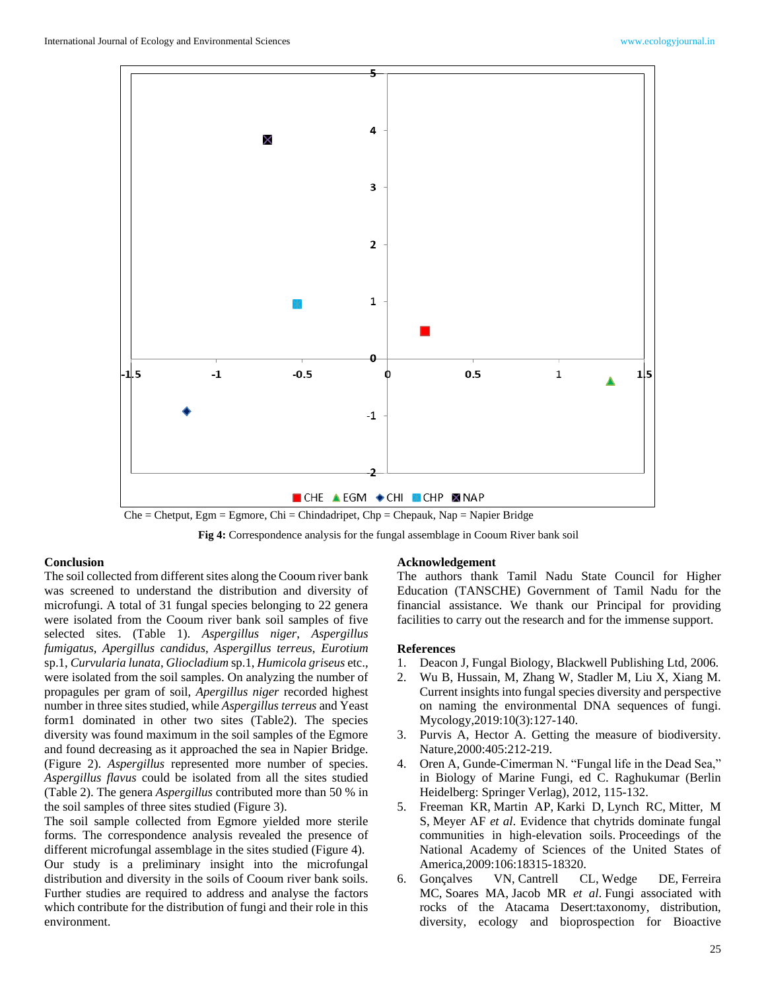

Che = Chetput, Egm = Egmore, Chi = Chindadripet, Chp = Chepauk, Nap = Napier Bridge

**Fig 4:** Correspondence analysis for the fungal assemblage in Cooum River bank soil

#### **Conclusion**

The soil collected from different sites along the Cooum river bank was screened to understand the distribution and diversity of microfungi. A total of 31 fungal species belonging to 22 genera were isolated from the Cooum river bank soil samples of five selected sites. (Table 1). *Aspergillus niger*, *Aspergillus fumigatus*, *Apergillus candidus*, *Aspergillus terreus*, *Eurotium* sp.1, *Curvularia lunata*, *Gliocladium* sp.1, *Humicola griseus* etc., were isolated from the soil samples. On analyzing the number of propagules per gram of soil, *Apergillus niger* recorded highest number in three sites studied, while *Aspergillus terreus* and Yeast form1 dominated in other two sites (Table2). The species diversity was found maximum in the soil samples of the Egmore and found decreasing as it approached the sea in Napier Bridge. (Figure 2). *Aspergillus* represented more number of species. *Aspergillus flavus* could be isolated from all the sites studied (Table 2). The genera *Aspergillus* contributed more than 50 % in the soil samples of three sites studied (Figure 3).

The soil sample collected from Egmore yielded more sterile forms. The correspondence analysis revealed the presence of different microfungal assemblage in the sites studied (Figure 4). Our study is a preliminary insight into the microfungal distribution and diversity in the soils of Cooum river bank soils. Further studies are required to address and analyse the factors which contribute for the distribution of fungi and their role in this environment.

#### **Acknowledgement**

The authors thank Tamil Nadu State Council for Higher Education (TANSCHE) Government of Tamil Nadu for the financial assistance. We thank our Principal for providing facilities to carry out the research and for the immense support.

#### **References**

- 1. Deacon J, Fungal Biology, Blackwell Publishing Ltd, 2006.
- 2. Wu B, Hussain, M, Zhang W, Stadler M, Liu X, Xiang M. Current insights into fungal species diversity and perspective on naming the environmental DNA sequences of fungi. Mycology,2019:10(3):127-140.
- 3. Purvis A, Hector A. Getting the measure of biodiversity. Nature,2000:405:212-219.
- 4. Oren A, Gunde-Cimerman N. "Fungal life in the Dead Sea," in Biology of Marine Fungi, ed C. Raghukumar (Berlin Heidelberg: Springer Verlag), 2012, 115-132.
- 5. Freeman KR, Martin AP, Karki D, Lynch RC, Mitter, M S, Meyer AF *et al*. Evidence that chytrids dominate fungal communities in high-elevation soils. Proceedings of the National Academy of Sciences of the United States of America,2009:106:18315-18320.
- 6. Gonçalves VN, Cantrell CL, Wedge DE, Ferreira MC, Soares MA, Jacob MR *et al*. Fungi associated with rocks of the Atacama Desert:taxonomy, distribution, diversity, ecology and bioprospection for Bioactive